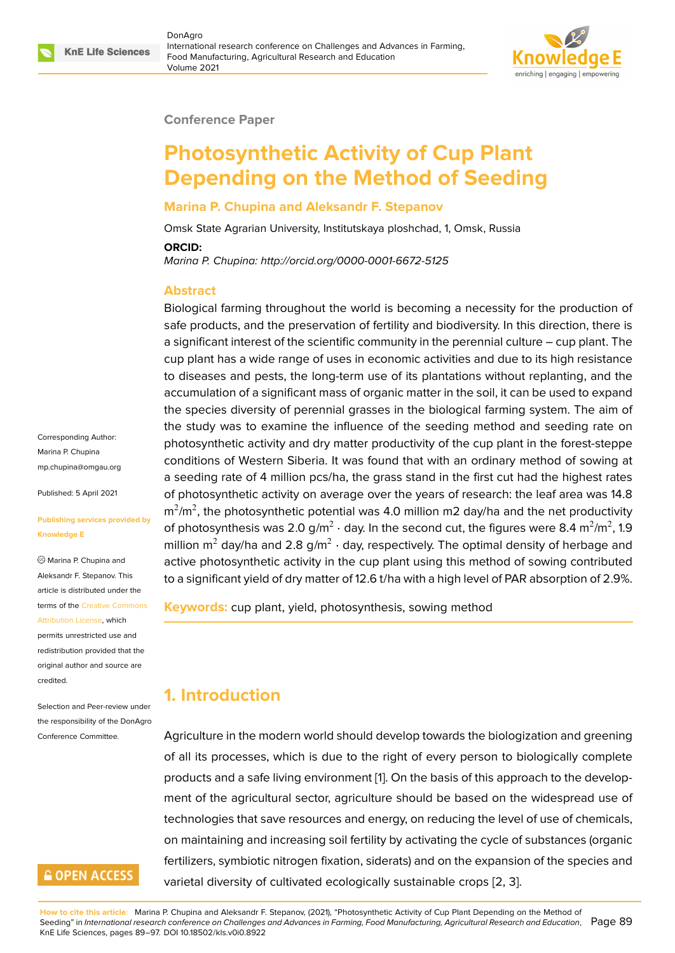

#### **Conference Paper**

# **Photosynthetic Activity of Cup Plant Depending on the Method of Seeding**

#### **Marina P. Chupina and Aleksandr F. Stepanov**

Omsk State Agrarian University, Institutskaya ploshchad, 1, Omsk, Russia

#### **ORCID:**

*Marina P. Chupina: http://orcid.org/0000-0001-6672-5125*

#### **Abstract**

Biological farming throughout the world is becoming a necessity for the production of safe products, and the preservation of fertility and biodiversity. In this direction, there is a significant interest of the scientific community in the perennial culture – cup plant. The cup plant has a wide range of uses in economic activities and due to its high resistance to diseases and pests, the long-term use of its plantations without replanting, and the accumulation of a significant mass of organic matter in the soil, it can be used to expand the species diversity of perennial grasses in the biological farming system. The aim of the study was to examine the influence of the seeding method and seeding rate on photosynthetic activity and dry matter productivity of the cup plant in the forest-steppe conditions of Western Siberia. It was found that with an ordinary method of sowing at a seeding rate of 4 million pcs/ha, the grass stand in the first cut had the highest rates of photosynthetic activity on average over the years of research: the leaf area was 14.8 m $^2$ /m $^2$ , the photosynthetic potential was 4.0 million m2 day/ha and the net productivity of photosynthesis was 2.0 g/m $^2$   $\cdot$  day. In the second cut, the figures were 8.4 m $^2$ /m $^2$ , 1.9 million m $^2$  day/ha and 2.8 g/m $^2$   $\cdot$  day, respectively. The optimal density of herbage and active photosynthetic activity in the cup plant using this method of sowing contributed to a significant yield of dry matter of 12.6 t/ha with a high level of PAR absorption of 2.9%.

**Keywords:** cup plant, yield, photosynthesis, sowing method

### **1. Introduction**

Agriculture in the modern world should develop towards the biologization and greening of all its processes, which is due to the right of every person to biologically complete products and a safe living environment [1]. On the basis of this approach to the development of the agricultural sector, agriculture should be based on the widespread use of technologies that save resources and energy, on reducing the level of use of chemicals, on maintaining and increasing soil fertili[ty](#page-7-0) by activating the cycle of substances (organic fertilizers, symbiotic nitrogen fixation, siderats) and on the expansion of the species and varietal diversity of cultivated ecologically sustainable crops [2, 3].

Corresponding Author: Marina P. Chupina mp.chupina@omgau.org

Published: 5 April 2021

#### **[Publishing services prov](mailto:mp.chupina@omgau.org)ided by Knowledge E**

Marina P. Chupina and Aleksandr F. Stepanov. This article is distributed under the terms of the Creative Commons Attribution License, which permits unrestricted use and redistribution provided that the original auth[or and source are](https://creativecommons.org/licenses/by/4.0/) [credited.](https://creativecommons.org/licenses/by/4.0/)

Selection and Peer-review under the responsibility of the DonAgro Conference Committee.

### **GOPEN ACCESS**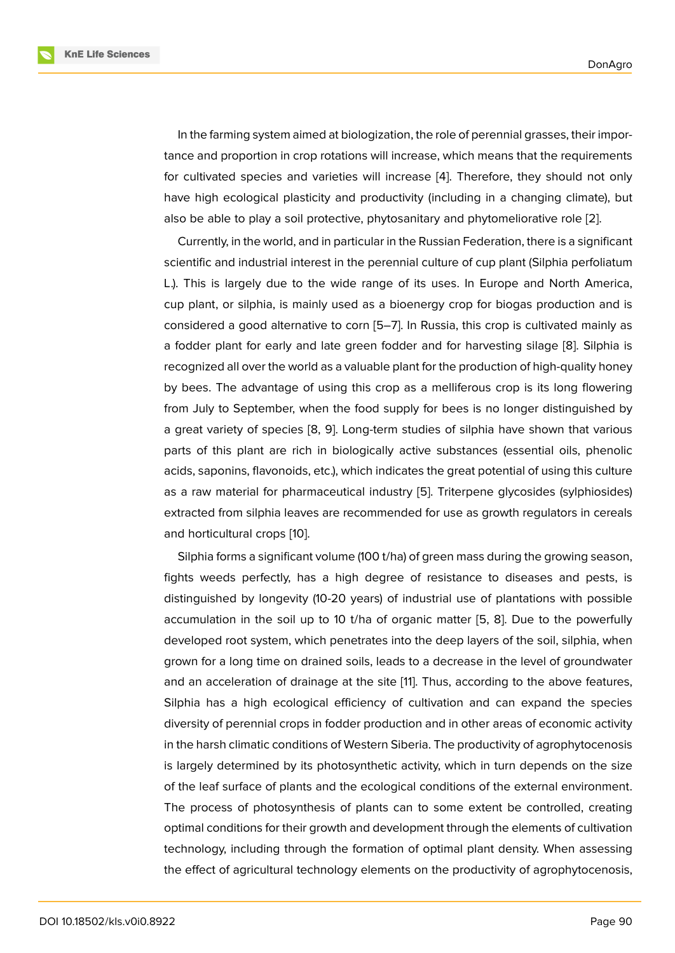In the farming system aimed at biologization, the role of perennial grasses, their importance and proportion in crop rotations will increase, which means that the requirements for cultivated species and varieties will increase [4]. Therefore, they should not only have high ecological plasticity and productivity (including in a changing climate), but also be able to play a soil protective, phytosanitary and phytomeliorative role [2].

Currently, in the world, and in particular in the Rus[si](#page-7-1)an Federation, there is a significant scientific and industrial interest in the perennial culture of cup plant (Silphia perfoliatum L.). This is largely due to the wide range of its uses. In Europe and North [Am](#page-7-2)erica, cup plant, or silphia, is mainly used as a bioenergy crop for biogas production and is considered a good alternative to corn [5–7]. In Russia, this crop is cultivated mainly as a fodder plant for early and late green fodder and for harvesting silage [8]. Silphia is recognized all over the world as a valuable plant for the production of high-quality honey by bees. The advantage of using this [cr](#page-7-3)[op](#page-8-0) as a melliferous crop is its long flowering from July to September, when the food supply for bees is no longer disti[ng](#page-8-1)uished by a great variety of species [8, 9]. Long-term studies of silphia have shown that various parts of this plant are rich in biologically active substances (essential oils, phenolic acids, saponins, flavonoids, etc.), which indicates the great potential of using this culture as a raw material for phar[ma](#page-8-1)[ce](#page-8-2)utical industry [5]. Triterpene glycosides (sylphiosides) extracted from silphia leaves are recommended for use as growth regulators in cereals and horticultural crops [10].

Silphia forms a significant volume (100 t/ha) of [g](#page-7-3)reen mass during the growing season, fights weeds perfectly, has a high degree of resistance to diseases and pests, is distinguished by longe[vity](#page-8-3) (10-20 years) of industrial use of plantations with possible accumulation in the soil up to 10 t/ha of organic matter [5, 8]. Due to the powerfully developed root system, which penetrates into the deep layers of the soil, silphia, when grown for a long time on drained soils, leads to a decrease in the level of groundwater and an acceleration of drainage at the site [11]. Thus, acc[ord](#page-7-3)[in](#page-8-1)g to the above features, Silphia has a high ecological efficiency of cultivation and can expand the species diversity of perennial crops in fodder production and in other areas of economic activity in the harsh climatic conditions of Western Si[be](#page-8-4)ria. The productivity of agrophytocenosis is largely determined by its photosynthetic activity, which in turn depends on the size of the leaf surface of plants and the ecological conditions of the external environment. The process of photosynthesis of plants can to some extent be controlled, creating optimal conditions for their growth and development through the elements of cultivation technology, including through the formation of optimal plant density. When assessing the effect of agricultural technology elements on the productivity of agrophytocenosis,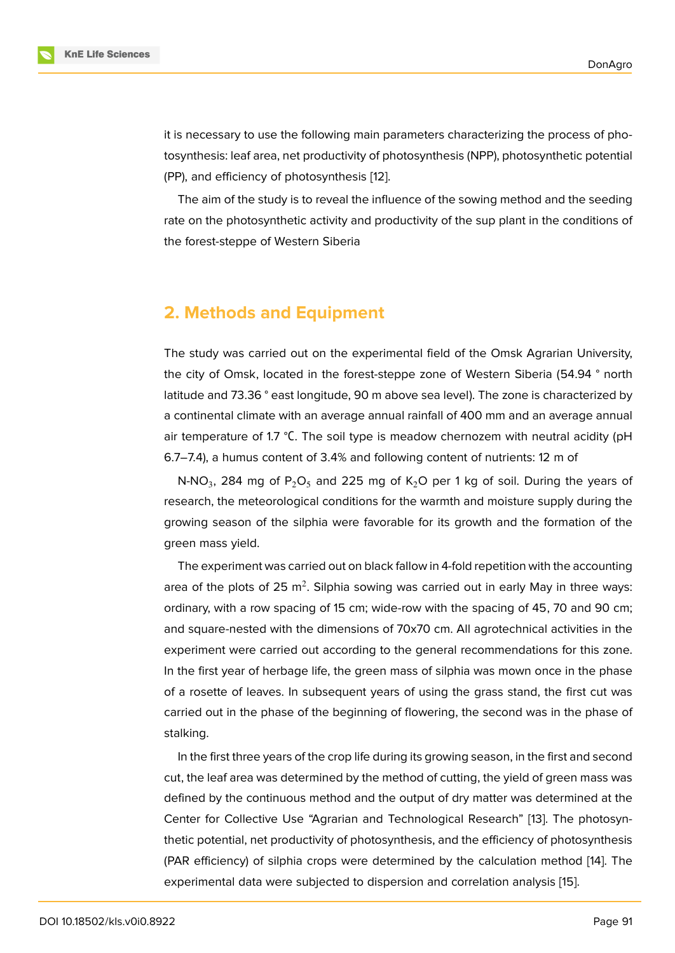it is necessary to use the following main parameters characterizing the process of photosynthesis: leaf area, net productivity of photosynthesis (NPP), photosynthetic potential (PP), and efficiency of photosynthesis [12].

The aim of the study is to reveal the influence of the sowing method and the seeding rate on the photosynthetic activity and [pr](#page-8-5)oductivity of the sup plant in the conditions of the forest-steppe of Western Siberia

### **2. Methods and Equipment**

The study was carried out on the experimental field of the Omsk Agrarian University, the city of Omsk, located in the forest-steppe zone of Western Siberia (54.94 ° north latitude and 73.36 ° east longitude, 90 m above sea level). The zone is characterized by a continental climate with an average annual rainfall of 400 mm and an average annual air temperature of 1.7  $\degree$ C. The soil type is meadow chernozem with neutral acidity (pH 6.7–7.4), a humus content of 3.4% and following content of nutrients: 12 m of

N-NO $_3$ , 284 mg of P $_2$ O $_5$  and 225 mg of K $_2$ O per 1 kg of soil. During the years of research, the meteorological conditions for the warmth and moisture supply during the growing season of the silphia were favorable for its growth and the formation of the green mass yield.

The experiment was carried out on black fallow in 4-fold repetition with the accounting area of the plots of 25 m<sup>2</sup>. Silphia sowing was carried out in early May in three ways: ordinary, with a row spacing of 15 cm; wide-row with the spacing of 45, 70 and 90 cm; and square-nested with the dimensions of 70x70 cm. All agrotechnical activities in the experiment were carried out according to the general recommendations for this zone. In the first year of herbage life, the green mass of silphia was mown once in the phase of a rosette of leaves. In subsequent years of using the grass stand, the first cut was carried out in the phase of the beginning of flowering, the second was in the phase of stalking.

In the first three years of the crop life during its growing season, in the first and second cut, the leaf area was determined by the method of cutting, the yield of green mass was defined by the continuous method and the output of dry matter was determined at the Center for Collective Use "Agrarian and Technological Research" [13]. The photosynthetic potential, net productivity of photosynthesis, and the efficiency of photosynthesis (PAR efficiency) of silphia crops were determined by the calculation method [14]. The experimental data were subjected to dispersion and correlation an[alys](#page-8-6)is [15].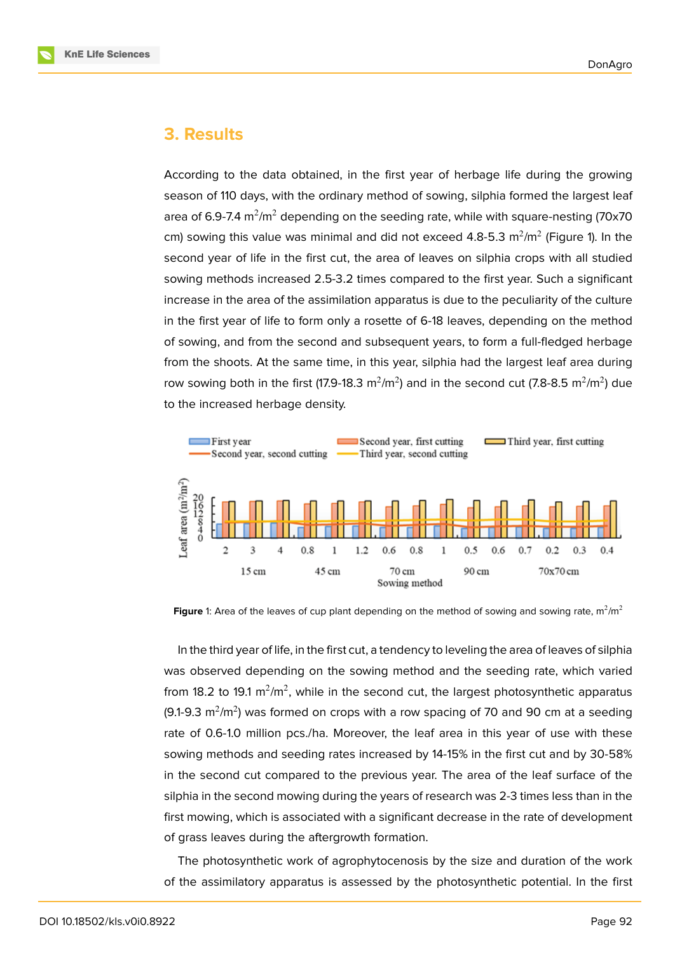#### **3. Results**

According to the data obtained, in the first year of herbage life during the growing season of 110 days, with the ordinary method of sowing, silphia formed the largest leaf area of 6.9-7.4 m $^{2}$ /m $^{2}$  depending on the seeding rate, while with square-nesting (70x70  $\,$ cm) sowing this value was minimal and did not exceed 4.8-5.3  $\mathrm{m}^2/\mathrm{m}^2$  (Figure 1). In the second year of life in the first cut, the area of leaves on silphia crops with all studied sowing methods increased 2.5-3.2 times compared to the first year. Such a significant increase in the area of the assimilation apparatus is due to the peculiarity of th[e](#page-3-0) culture in the first year of life to form only a rosette of 6-18 leaves, depending on the method of sowing, and from the second and subsequent years, to form a full-fledged herbage from the shoots. At the same time, in this year, silphia had the largest leaf area during row sowing both in the first (17.9-18.3  $\text{m}^2/\text{m}^2$ ) and in the second cut (7.8-8.5  $\text{m}^2/\text{m}^2$ ) due to the increased herbage density.



**Figure** 1: Area of the leaves of cup plant depending on the method of sowing and sowing rate,  $m^2/m^2$ 

<span id="page-3-0"></span>In the third year of life, in the first cut, a tendency to leveling the area of leaves of silphia was observed depending on the sowing method and the seeding rate, which varied from 18.2 to 19.1 m $^2$ /m $^2$ , while in the second cut, the largest photosynthetic apparatus (9.1-9.3 m<sup>2</sup>/m<sup>2</sup>) was formed on crops with a row spacing of 70 and 90 cm at a seeding rate of 0.6-1.0 million pcs./ha. Moreover, the leaf area in this year of use with these sowing methods and seeding rates increased by 14-15% in the first cut and by 30-58% in the second cut compared to the previous year. The area of the leaf surface of the silphia in the second mowing during the years of research was 2-3 times less than in the first mowing, which is associated with a significant decrease in the rate of development of grass leaves during the aftergrowth formation.

The photosynthetic work of agrophytocenosis by the size and duration of the work of the assimilatory apparatus is assessed by the photosynthetic potential. In the first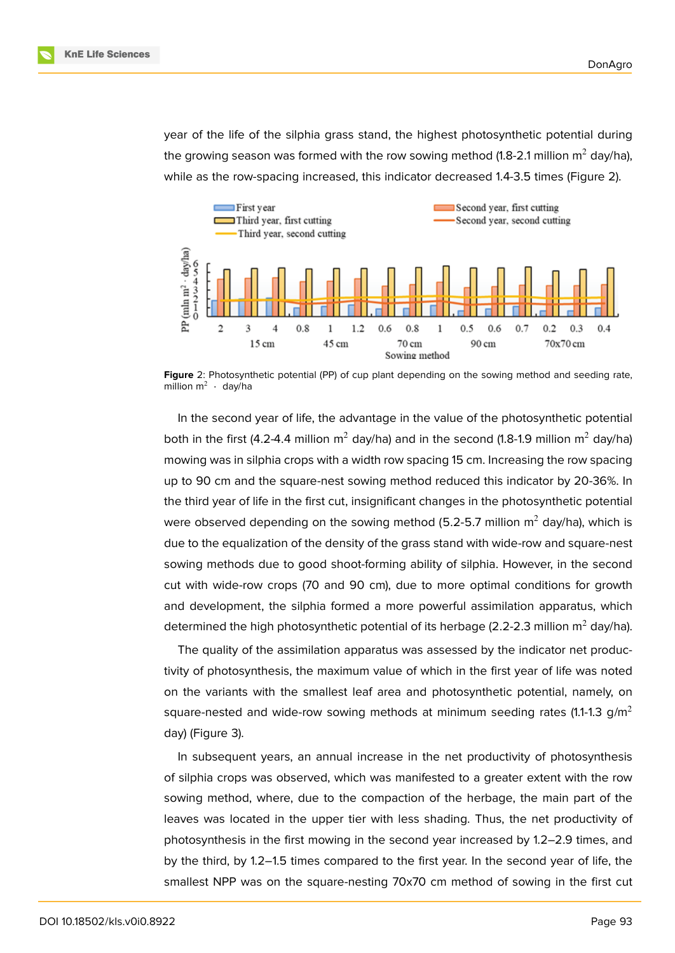year of the life of the silphia grass stand, the highest photosynthetic potential during the growing season was formed with the row sowing method (1.8-2.1 million  $m^2$  day/ha), while as the row-spacing increased, this indicator decreased 1.4-3.5 times (Figure 2).



Figure 2: Photosynthetic potential (PP) of cup plant depending on the sowing method and seeding rate, million  $m^2 + d$ ay/ha

In the second year of life, the advantage in the value of the photosynthetic potential both in the first (4.2-4.4 million  $m^2$  day/ha) and in the second (1.8-1.9 million  $m^2$  day/ha) mowing was in silphia crops with a width row spacing 15 cm. Increasing the row spacing up to 90 cm and the square-nest sowing method reduced this indicator by 20-36%. In the third year of life in the first cut, insignificant changes in the photosynthetic potential were observed depending on the sowing method (5.2-5.7 million  $m^2$  day/ha), which is due to the equalization of the density of the grass stand with wide-row and square-nest sowing methods due to good shoot-forming ability of silphia. However, in the second cut with wide-row crops (70 and 90 cm), due to more optimal conditions for growth and development, the silphia formed a more powerful assimilation apparatus, which determined the high photosynthetic potential of its herbage (2.2-2.3 million  $m^2$  day/ha).

The quality of the assimilation apparatus was assessed by the indicator net productivity of photosynthesis, the maximum value of which in the first year of life was noted on the variants with the smallest leaf area and photosynthetic potential, namely, on square-nested and wide-row sowing methods at minimum seeding rates (1.1-1.3 g/m<sup>2</sup> day) (Figure 3).

In subsequent years, an annual increase in the net productivity of photosynthesis of silphia crops was observed, which was manifested to a greater extent with the row sowing met[ho](#page-5-0)d, where, due to the compaction of the herbage, the main part of the leaves was located in the upper tier with less shading. Thus, the net productivity of photosynthesis in the first mowing in the second year increased by 1.2–2.9 times, and by the third, by 1.2–1.5 times compared to the first year. In the second year of life, the smallest NPP was on the square-nesting 70x70 cm method of sowing in the first cut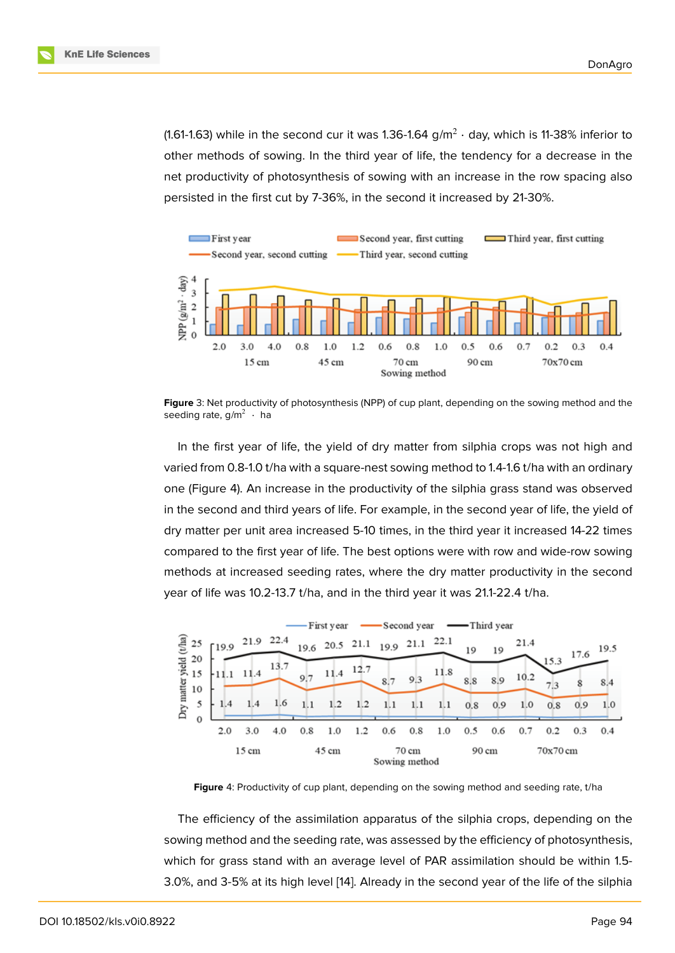(1.61-1.63) while in the second cur it was 1.36-1.64 g/m $^2\cdot$  day, which is 11-38% inferior to other methods of sowing. In the third year of life, the tendency for a decrease in the net productivity of photosynthesis of sowing with an increase in the row spacing also persisted in the first cut by 7-36%, in the second it increased by 21-30%.



**Figure** 3: Net productivity of photosynthesis (NPP) of cup plant, depending on the sowing method and the seeding rate, g/m $^2$   $\cdot$  ha

<span id="page-5-0"></span>In the first year of life, the yield of dry matter from silphia crops was not high and varied from 0.8-1.0 t/ha with a square-nest sowing method to 1.4-1.6 t/ha with an ordinary one (Figure 4). An increase in the productivity of the silphia grass stand was observed in the second and third years of life. For example, in the second year of life, the yield of dry matter per unit area increased 5-10 times, in the third year it increased 14-22 times compared t[o t](#page-5-1)he first year of life. The best options were with row and wide-row sowing methods at increased seeding rates, where the dry matter productivity in the second year of life was 10.2-13.7 t/ha, and in the third year it was 21.1-22.4 t/ha.



<span id="page-5-1"></span>**Figure** 4: Productivity of cup plant, depending on the sowing method and seeding rate, t/ha

The efficiency of the assimilation apparatus of the silphia crops, depending on the sowing method and the seeding rate, was assessed by the efficiency of photosynthesis, which for grass stand with an average level of PAR assimilation should be within 1.5- 3.0%, and 3-5% at its high level [14]. Already in the second year of the life of the silphia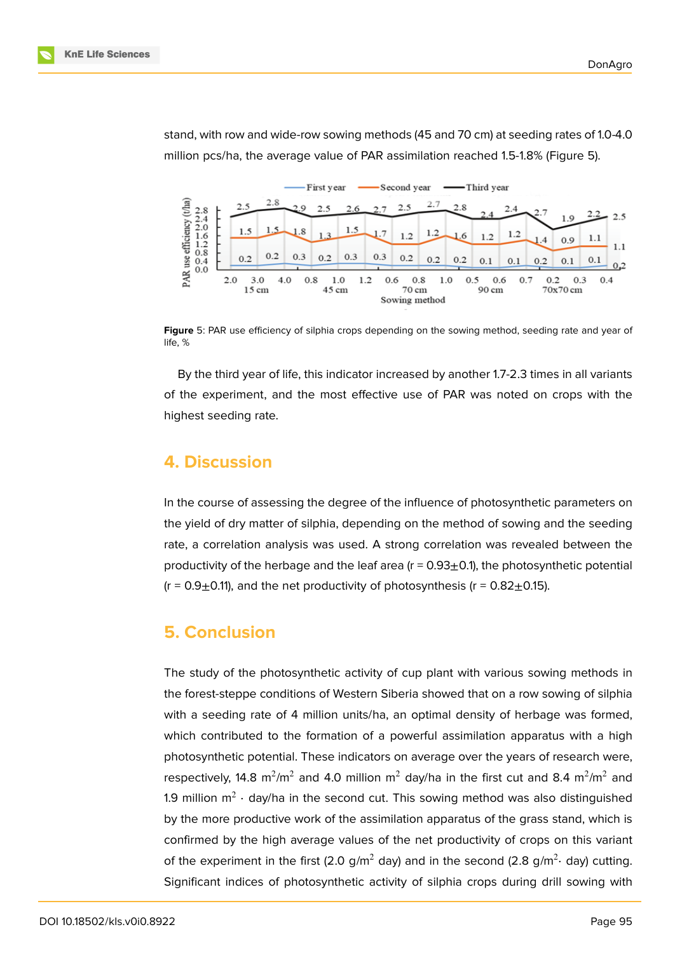

stand, with row and wide-row sowing methods (45 and 70 cm) at seeding rates of 1.0-4.0 million pcs/ha, the average value of PAR assimilation reached 1.5-1.8% (Figure 5).

**Figure** 5: PAR use efficiency of silphia crops depending on the sowing method, seeding rate and year of life, %

By the third year of life, this indicator increased by another 1.7-2.3 times in all variants of the experiment, and the most effective use of PAR was noted on crops with the highest seeding rate.

#### **4. Discussion**

In the course of assessing the degree of the influence of photosynthetic parameters on the yield of dry matter of silphia, depending on the method of sowing and the seeding rate, a correlation analysis was used. A strong correlation was revealed between the productivity of the herbage and the leaf area  $(r = 0.93 \pm 0.1)$ , the photosynthetic potential  $(r = 0.9 \pm 0.11)$ , and the net productivity of photosynthesis ( $r = 0.82 \pm 0.15$ ).

### **5. Conclusion**

The study of the photosynthetic activity of cup plant with various sowing methods in the forest-steppe conditions of Western Siberia showed that on a row sowing of silphia with a seeding rate of 4 million units/ha, an optimal density of herbage was formed, which contributed to the formation of a powerful assimilation apparatus with a high photosynthetic potential. These indicators on average over the years of research were, respectively, 14.8  $\mathrm{m}^2/\mathrm{m}^2$  and 4.0 million  $\mathrm{m}^2$  day/ha in the first cut and 8.4  $\mathrm{m}^2/\mathrm{m}^2$  and 1.9 million  $\mathsf{m}^2 \cdot$  day/ha in the second cut. This sowing method was also distinguished by the more productive work of the assimilation apparatus of the grass stand, which is confirmed by the high average values of the net productivity of crops on this variant of the experiment in the first (2.0 g/m<sup>2</sup> day) and in the second (2.8 g/m<sup>2</sup>· day) cutting. Significant indices of photosynthetic activity of silphia crops during drill sowing with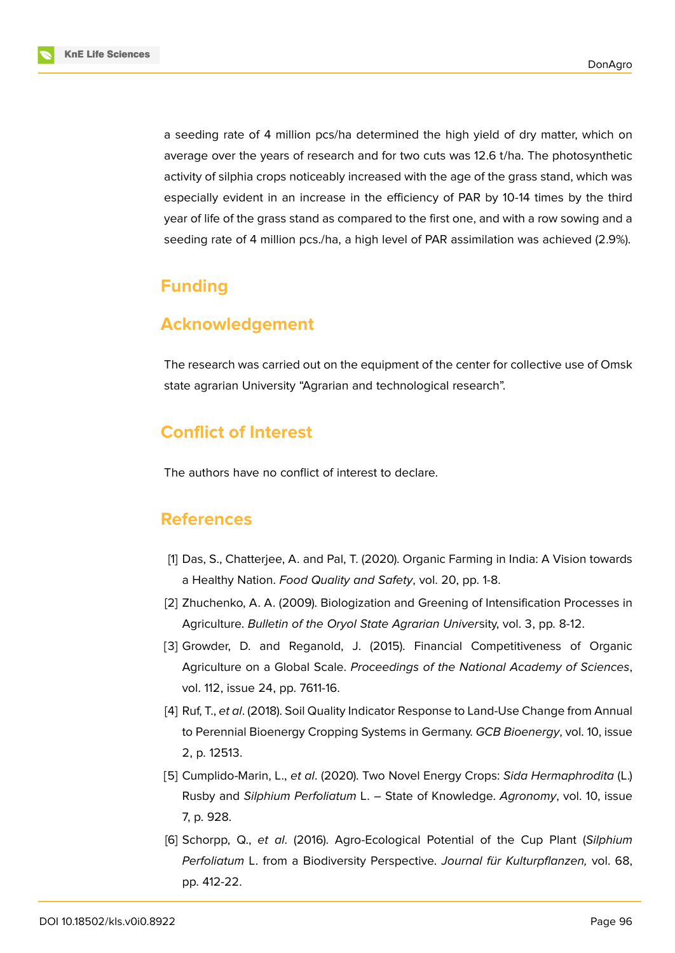

a seeding rate of 4 million pcs/ha determined the high yield of dry matter, which on average over the years of research and for two cuts was 12.6 t/ha. The photosynthetic activity of silphia crops noticeably increased with the age of the grass stand, which was especially evident in an increase in the efficiency of PAR by 10-14 times by the third year of life of the grass stand as compared to the first one, and with a row sowing and a seeding rate of 4 million pcs./ha, a high level of PAR assimilation was achieved (2.9%).

## **Funding**

### **Acknowledgement**

The research was carried out on the equipment of the center for collective use of Omsk state agrarian University "Agrarian and technological research".

# **Conflict of Interest**

The authors have no conflict of interest to declare.

### **References**

- <span id="page-7-0"></span>[1] Das, S., Chatterjee, A. and Pal, T. (2020). Organic Farming in India: A Vision towards a Healthy Nation. *Food Quality and Safety*, vol. 20, pp. 1-8.
- <span id="page-7-2"></span>[2] Zhuchenko, A. A. (2009). Biologization and Greening of Intensification Processes in Agriculture. *Bulletin of the Oryol State Agrarian Univer*sity, vol. 3, pp. 8-12.
- [3] Growder, D. and Reganold, J. (2015). Financial Competitiveness of Organic Agriculture on a Global Scale. *Proceedings of the National Academy of Sciences*, vol. 112, issue 24, pp. 7611-16.
- <span id="page-7-1"></span>[4] Ruf, T., *et al*. (2018). Soil Quality Indicator Response to Land-Use Change from Annual to Perennial Bioenergy Cropping Systems in Germany. *GCB Bioenergy*, vol. 10, issue 2, p. 12513.
- <span id="page-7-3"></span>[5] Cumplido-Marin, L., *et al*. (2020). Two Novel Energy Crops: *Sida Hermaphrodita* (L.) Rusby and *Silphium Perfoliatum* L. – State of Knowledge. *Agronomy*, vol. 10, issue 7, p. 928.
- [6] Schorpp, Q., *et al*. (2016). Agro-Ecological Potential of the Cup Plant (*Silphium Perfoliatum* L. from a Biodiversity Perspective. *Journal für Kulturpflanzen,* vol. 68, pp. 412-22.